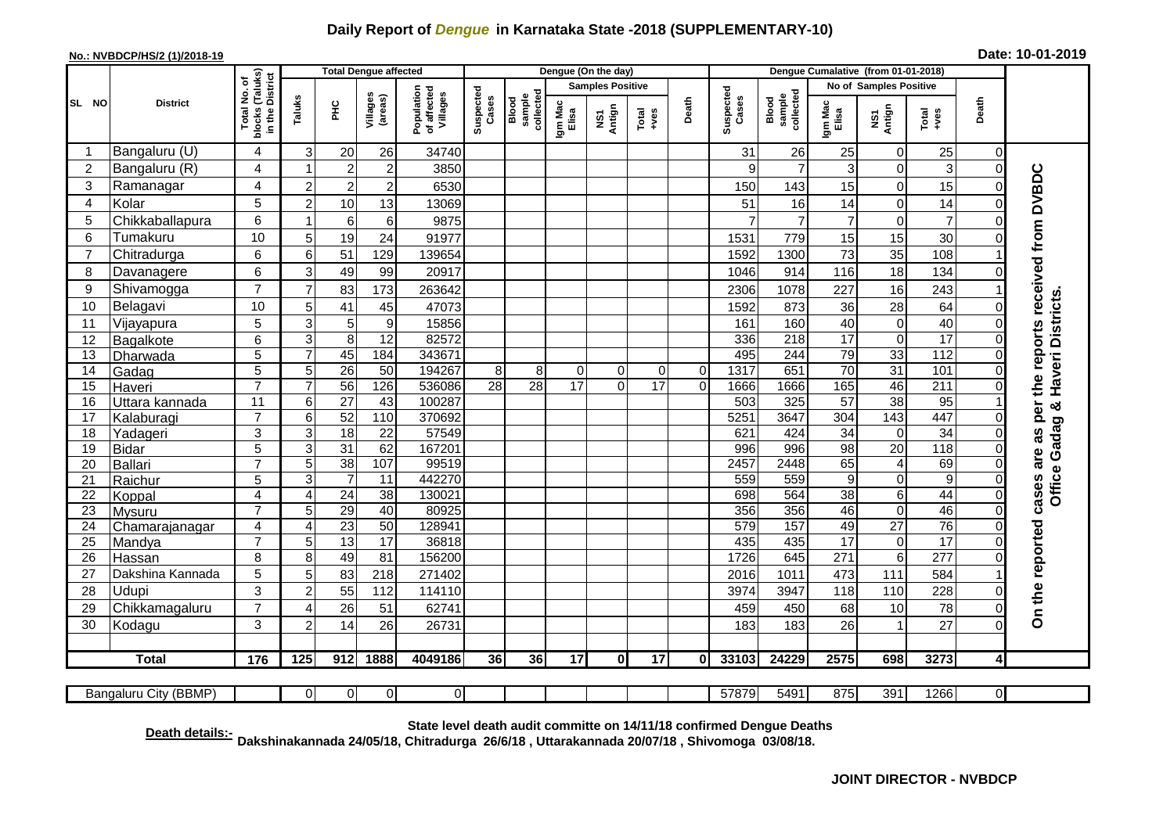## **Daily Report of** *Dengue* **in Karnataka State -2018 (SUPPLEMENTARY-10)**

## **No.: NVBDCP/HS/2 (1)/2018-19 Date: 10-01-2019**

|                 | <b>District</b>          |                                                 | <b>Total Dengue affected</b> |                       |                       |                                       |                    |                              |                         | Dengue (On the day) |               |                | Dengue Cumalative (from 01-01-2018) |                              |                        |                                |                  |                      |                                     |
|-----------------|--------------------------|-------------------------------------------------|------------------------------|-----------------------|-----------------------|---------------------------------------|--------------------|------------------------------|-------------------------|---------------------|---------------|----------------|-------------------------------------|------------------------------|------------------------|--------------------------------|------------------|----------------------|-------------------------------------|
|                 |                          | ৳                                               |                              |                       |                       |                                       |                    |                              | <b>Samples Positive</b> |                     |               |                |                                     |                              | No of Samples Positive |                                |                  |                      |                                     |
| SL NO           |                          | blocks (Taluks)<br>in the District<br>Total No. | Taluks                       | 옾                     | Villages<br>(areas)   | Population<br>of affected<br>Villages | Suspected<br>Cases | collected<br>sample<br>Blood | Igm Mac<br>Elisa        | NS1<br>Antign       | Total<br>+ves | Death          | Suspected<br>Cases                  | Blood<br>sample<br>collected | Igm Mac<br>Elisa       | NS1<br>Antign                  | Total<br>+ves    | Death                |                                     |
| -1              | Bangaluru (U)            | 4                                               | 3                            | 20                    | 26                    | 34740                                 |                    |                              |                         |                     |               |                | 31                                  | 26                           | 25                     | $\mathbf 0$                    | 25               | $\Omega$             |                                     |
| 2               | Bangaluru (R)            | 4                                               | -1                           | $\overline{c}$        | $\overline{c}$        | 3850                                  |                    |                              |                         |                     |               |                | 9                                   | $\overline{7}$               | 3                      | $\mathbf 0$                    | 3                | $\Omega$             |                                     |
| 3               | Ramanagar                | 4                                               | $\overline{c}$               | $\overline{2}$        | $\overline{c}$        | 6530                                  |                    |                              |                         |                     |               |                | 150                                 | 143                          | 15                     | $\mathbf 0$                    | 15               |                      | per the reports received from DVBDC |
| 4               | Kolar                    | 5                                               | $\overline{2}$               | 10                    | 13                    | 13069                                 |                    |                              |                         |                     |               |                | 51                                  | 16                           | 14                     | $\mathbf 0$                    | 14               |                      |                                     |
| 5               | Chikkaballapura          | 6                                               | 1                            | 6                     | 6                     | 9875                                  |                    |                              |                         |                     |               |                |                                     | $\overline{7}$               | $\overline{7}$         | $\mathbf 0$                    | $\overline{7}$   |                      |                                     |
| 6               | Tumakuru                 | 10                                              | 5                            | 19                    | 24                    | 91977                                 |                    |                              |                         |                     |               |                | 1531                                | 779                          | 15                     | 15                             | 30               |                      |                                     |
|                 | Chitradurga              | 6                                               | 6                            | 51                    | 129                   | 139654                                |                    |                              |                         |                     |               |                | 1592                                | 1300                         | 73                     | 35                             | 108              |                      |                                     |
| 8               | Davanagere               | 6                                               | 3                            | 49                    | 99                    | 20917                                 |                    |                              |                         |                     |               |                | 1046                                | 914                          | 116                    | 18                             | 134              |                      |                                     |
| 9               | Shivamogga               | $\overline{7}$                                  | $\overline{7}$               | 83                    | 173                   | 263642                                |                    |                              |                         |                     |               |                | 2306                                | 1078                         | 227                    | 16                             | 243              |                      |                                     |
| 10              | Belagavi                 | 10                                              | 5                            | 41                    | 45                    | 47073                                 |                    |                              |                         |                     |               |                | 1592                                | 873                          | 36                     | 28                             | 64               |                      | Office Gadag & Haveri Districts     |
| 11              | Vijayapura               | 5                                               | 3                            | 5                     | $\boldsymbol{9}$      | 15856                                 |                    |                              |                         |                     |               |                | 161                                 | 160                          | 40                     | $\mathbf 0$                    | 40               |                      |                                     |
| 12              | Bagalkote                | 6                                               | 3                            | 8                     | $\overline{12}$       | 82572                                 |                    |                              |                         |                     |               |                | 336                                 | $\overline{218}$             | $\overline{17}$        | $\mathbf 0$                    | 17               | $\Omega$             |                                     |
| 13              | Dharwada                 | $\overline{5}$                                  | 7                            | 45                    | 184                   | 343671                                |                    |                              |                         |                     |               |                | 495                                 | 244                          | 79                     | 33                             | 112              |                      |                                     |
| 14              | Gadag                    | $\overline{5}$                                  | 5                            | 26                    | 50                    | 194267                                | 8                  | 8                            | $\mathbf 0$             | 0                   | $\Omega$      | $\mathbf 0$    | 1317                                | 651                          | $\overline{70}$        | 31                             | 101              |                      |                                     |
| 15              | Haveri                   | $\overline{7}$                                  | $\overline{7}$               | 56                    | 126                   | 536086                                | 28                 | 28                           | 17                      | $\Omega$            | 17            | $\overline{0}$ | 1666                                | 1666                         | 165                    | 46                             | 211              | $\Omega$             |                                     |
| 16              | Uttara kannada           | $\overline{11}$                                 | 6                            | 27                    | 43                    | 100287                                |                    |                              |                         |                     |               |                | 503                                 | 325                          | $\overline{57}$        | $\overline{38}$                | 95               |                      |                                     |
| 17              | Kalaburagi               | $\overline{7}$                                  | 6                            | 52                    | 110                   | 370692                                |                    |                              |                         |                     |               |                | 5251                                | 3647                         | 304                    | 143                            | 447              |                      |                                     |
| 18              | Yadageri                 | 3                                               | 3                            | $\overline{18}$       | $\overline{22}$       | 57549                                 |                    |                              |                         |                     |               |                | 621                                 | 424                          | $\overline{34}$        | $\mathbf 0$                    | 34               |                      | as                                  |
| $\overline{19}$ | Bidar                    | $\overline{5}$                                  | 3                            | $\overline{31}$       | 62                    | 167201                                |                    |                              |                         |                     |               |                | 996                                 | 996                          | 98                     | $\overline{20}$                | 118              |                      |                                     |
| 20              | Ballari                  | $\overline{7}$                                  | 5                            | 38                    | 107                   | 99519                                 |                    |                              |                         |                     |               |                | 2457                                | 2448                         | 65                     | $\overline{4}$                 | 69               |                      | cases are                           |
| 21              | Raichur                  | 5                                               | 3                            | $\overline{7}$        | 11                    | 442270                                |                    |                              |                         |                     |               |                | 559                                 | 559                          | $\boldsymbol{9}$       | $\mathbf 0$                    | $\boldsymbol{9}$ |                      |                                     |
| 22              | Koppal                   | 4<br>$\overline{7}$                             | 4                            | $\overline{24}$<br>29 | $\overline{38}$<br>40 | 130021<br>80925                       |                    |                              |                         |                     |               |                | 698<br>356                          | 564<br>356                   | 38<br>46               | $\,6$                          | 44<br>46         | $\Omega$<br>$\Omega$ |                                     |
| 23<br>24        | Mysuru                   | $\overline{\mathbf{4}}$                         | 5<br>$\overline{4}$          | $\overline{23}$       | 50                    | 128941                                |                    |                              |                         |                     |               |                | 579                                 | 157                          | 49                     | $\mathbf 0$<br>$\overline{27}$ | 76               |                      |                                     |
| 25              | Chamarajanagar<br>Mandya | $\overline{7}$                                  | 5                            | 13                    | $\overline{17}$       | 36818                                 |                    |                              |                         |                     |               |                | 435                                 | 435                          | $\overline{17}$        | $\mathbf 0$                    | $\overline{17}$  |                      |                                     |
| 26              | Hassan                   | 8                                               | 8                            | 49                    | 81                    | 156200                                |                    |                              |                         |                     |               |                | 1726                                | 645                          | 271                    | $\overline{6}$                 | $\overline{277}$ |                      |                                     |
| 27              | Dakshina Kannada         | 5                                               | 5                            | 83                    | 218                   | 271402                                |                    |                              |                         |                     |               |                | 2016                                | 1011                         | 473                    | 111                            | 584              |                      |                                     |
| 28              | Udupi                    | 3                                               | $\overline{2}$               | 55                    | 112                   | 114110                                |                    |                              |                         |                     |               |                | 3974                                | 3947                         | 118                    | 110                            | 228              |                      |                                     |
| 29              | Chikkamagaluru           | $\overline{7}$                                  | 4                            | 26                    | 51                    | 62741                                 |                    |                              |                         |                     |               |                | 459                                 | 450                          | 68                     | 10                             | 78               | $\Omega$             |                                     |
| 30              | Kodagu                   | 3                                               | $\overline{2}$               | 14                    | 26                    | 26731                                 |                    |                              |                         |                     |               |                | 183                                 | 183                          | 26                     | $\overline{1}$                 | 27               | $\Omega$             | On the reported                     |
|                 |                          |                                                 |                              |                       |                       |                                       |                    |                              |                         |                     |               |                |                                     |                              |                        |                                |                  |                      |                                     |
|                 | <b>Total</b>             | 176                                             | 125                          | 912                   | 1888                  | 4049186                               | 36                 | 36                           | 17                      | $\mathbf{0}$        | 17            | 0              | 33103                               | 24229                        | 2575                   | 698                            | 3273             | $\overline{4}$       |                                     |
|                 |                          |                                                 |                              |                       |                       |                                       |                    |                              |                         |                     |               |                |                                     |                              |                        |                                |                  |                      |                                     |
|                 | Bangaluru City (BBMP)    |                                                 | $\overline{O}$               | $\Omega$              | $\overline{0}$        | $\overline{0}$                        |                    |                              |                         |                     |               |                | 57879                               | 5491                         | 875                    | 391                            | 1266             | $\overline{0}$       |                                     |

**Death details:- State level death audit committe on 14/11/18 confirmed Dengue Deaths Dakshinakannada 24/05/18, Chitradurga 26/6/18 , Uttarakannada 20/07/18 , Shivomoga 03/08/18.**